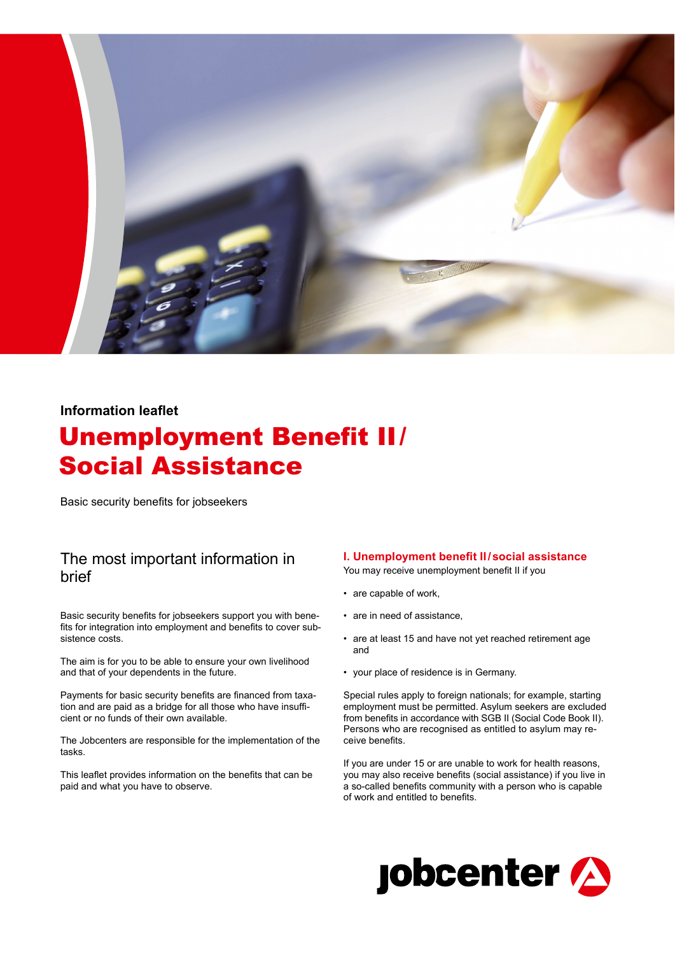

## **Information leaflet**

# Unemployment Benefit II/ Social Assistance

Basic security benefits for jobseekers

# The most important information in brief

Basic security benefits for jobseekers support you with benefits for integration into employment and benefits to cover subsistence costs.

The aim is for you to be able to ensure your own livelihood and that of your dependents in the future.

Payments for basic security benefits are financed from taxation and are paid as a bridge for all those who have insufficient or no funds of their own available.

The Jobcenters are responsible for the implementation of the tasks.

This leaflet provides information on the benefits that can be paid and what you have to observe.

### **I. Unemployment benefit II/social assistance**

You may receive unemployment benefit II if you

- are capable of work,
- are in need of assistance,
- are at least 15 and have not yet reached retirement age and
- your place of residence is in Germany.

Special rules apply to foreign nationals; for example, starting employment must be permitted. Asylum seekers are excluded from benefits in accordance with SGB II (Social Code Book II). Persons who are recognised as entitled to asylum may receive benefits.

If you are under 15 or are unable to work for health reasons, you may also receive benefits (social assistance) if you live in a so-called benefits community with a person who is capable of work and entitled to benefits.